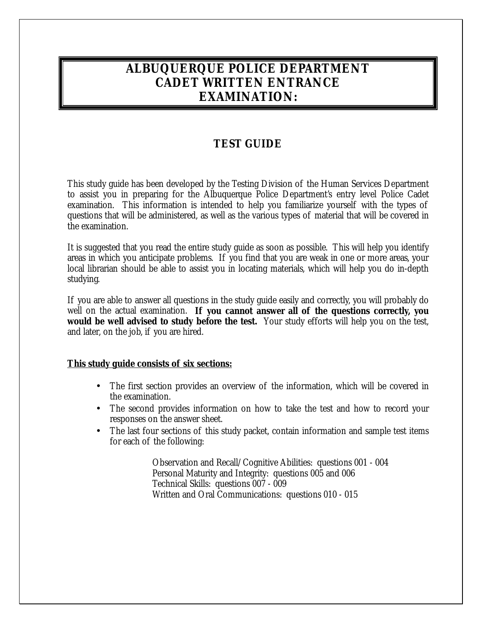# **ALBUQUERQUE POLICE DEPARTMENT CADET WRITTEN ENTRANCE EXAMINATION:**

## **TEST GUIDE**

This study guide has been developed by the Testing Division of the Human Services Department to assist you in preparing for the Albuquerque Police Department's entry level Police Cadet examination. This information is intended to help you familiarize yourself with the types of questions that will be administered, as well as the various types of material that will be covered in the examination.

It is suggested that you read the entire study guide as soon as possible. This will help you identify areas in which you anticipate problems. If you find that you are weak in one or more areas, your local librarian should be able to assist you in locating materials, which will help you do in-depth studying.

If you are able to answer all questions in the study guide easily and correctly, you will probably do well on the actual examination. **If you cannot answer all of the questions correctly, you would be well advised to study before the test.** Your study efforts will help you on the test, and later, on the job, if you are hired.

### **This study guide consists of six sections:**

- The first section provides an overview of the information, which will be covered in the examination.
- The second provides information on how to take the test and how to record your responses on the answer sheet.
- The last four sections of this study packet, contain information and sample test items for each of the following:

Observation and Recall/Cognitive Abilities: questions 001 - 004 Personal Maturity and Integrity: questions 005 and 006 Technical Skills: questions 007 - 009 Written and Oral Communications: questions 010 - 015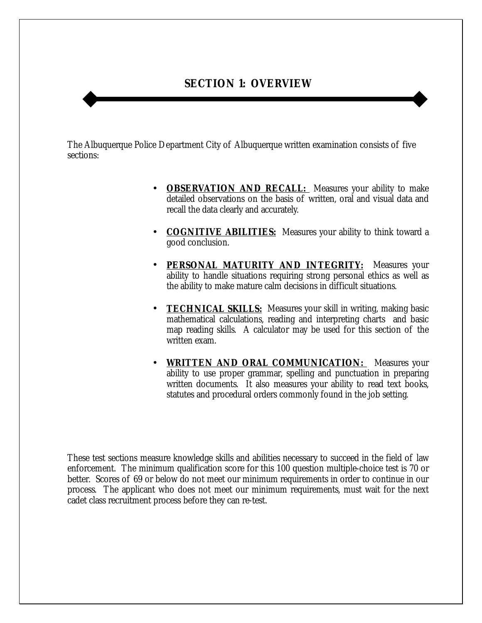## **SECTION 1: OVERVIEW**

The Albuquerque Police Department City of Albuquerque written examination consists of five sections:

- **OBSERVATION AND RECALL:** Measures your ability to make detailed observations on the basis of written, oral and visual data and recall the data clearly and accurately.
- **COGNITIVE ABILITIES:** Measures your ability to think toward a good conclusion.
- **PERSONAL MATURITY AND INTEGRITY:** Measures your ability to handle situations requiring strong personal ethics as well as the ability to make mature calm decisions in difficult situations.
- **TECHNICAL SKILLS:** Measures your skill in writing, making basic mathematical calculations, reading and interpreting charts and basic map reading skills. A calculator may be used for this section of the written exam.
- **WRITTEN AND ORAL COMMUNICATION:** Measures your ability to use proper grammar, spelling and punctuation in preparing written documents. It also measures your ability to read text books, statutes and procedural orders commonly found in the job setting.

These test sections measure knowledge skills and abilities necessary to succeed in the field of law enforcement. The minimum qualification score for this 100 question multiple-choice test is 70 or better. Scores of 69 or below do not meet our minimum requirements in order to continue in our process. The applicant who does not meet our minimum requirements, must wait for the next cadet class recruitment process before they can re-test.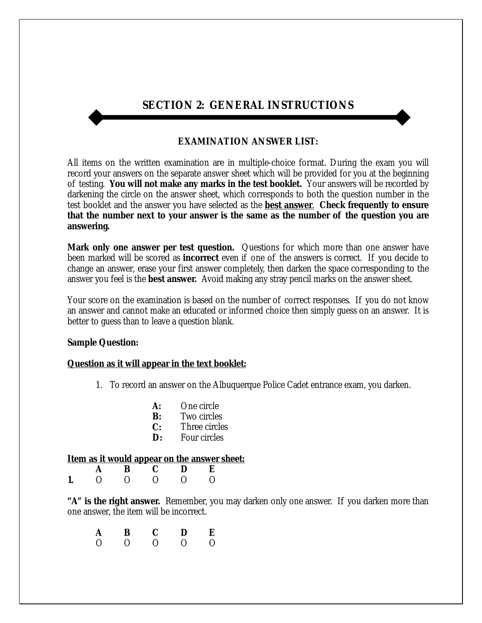## **SECTION 2: GENERAL INSTRUCTIONS**

## **EXAMINATION ANSWER LIST:**

All items on the written examination are in multiple-choice format. During the exam you will record your answers on the separate answer sheet which will be provided for you at the beginning of testing. **You will not make any marks in the test booklet.** Your answers will be recorded by darkening the circle on the answer sheet, which corresponds to both the question number in the test booklet and the answer you have selected as the **best answer**. **Check frequently to ensure that the number next to your answer is the same as the number of the question you are answering.** 

**Mark only one answer per test question.** Questions for which more than one answer have been marked will be scored as **incorrect** even if one of the answers is correct. If you decide to change an answer, erase your first answer completely, then darken the space corresponding to the answer you feel is the **best answer.** Avoid making any stray pencil marks on the answer sheet.

Your score on the examination is based on the number of correct responses. If you do not know an answer and cannot make an educated or informed choice then simply guess on an answer. It is better to guess than to leave a question blank.

#### **Sample Question:**

### **Question as it will appear in the text booklet:**

1. To record an answer on the Albuquerque Police Cadet entrance exam, you darken.

| $A$ :          | One circle          |
|----------------|---------------------|
| $\mathbf{B}$ : | Two circles         |
| C:             | Three circles       |
| D:             | <b>Four circles</b> |

#### **Item as it would appear on the answer sheet:**

|             |  | <b>B C D E</b> |  |
|-------------|--|----------------|--|
| 1 0 0 0 0 0 |  |                |  |

**"A" is the right answer.** Remember, you may darken only one answer. If you darken more than one answer, the item will be incorrect.

| A        | B |   | D        | $\bf{E}$       |
|----------|---|---|----------|----------------|
| $\Omega$ | O | O | $\Omega$ | $\overline{O}$ |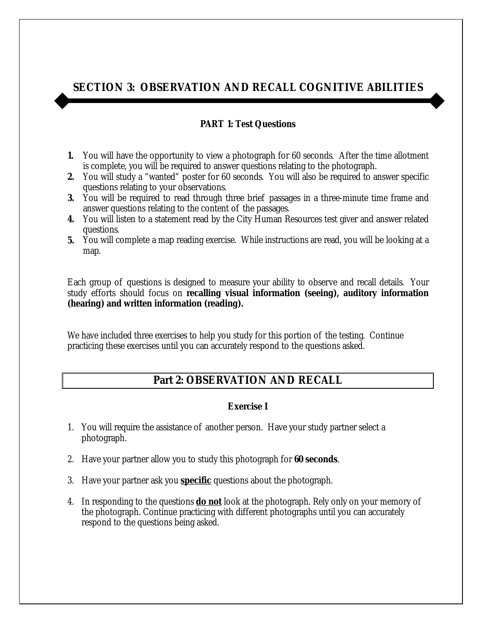# **SECTION 3: OBSERVATION AND RECALL COGNITIVE ABILITIES**

## **PART 1: Test Questions**

- **1.** You will have the opportunity to view a photograph for 60 seconds. After the time allotment is complete, you will be required to answer questions relating to the photograph.
- **2.** You will study a "wanted" poster for 60 seconds. You will also be required to answer specific questions relating to your observations.
- **3.** You will be required to read through three brief passages in a three-minute time frame and answer questions relating to the content of the passages.
- **4.** You will listen to a statement read by the City Human Resources test giver and answer related questions.
- **5.** You will complete a map reading exercise. While instructions are read, you will be looking at a map.

Each group of questions is designed to measure your ability to observe and recall details. Your study efforts should focus on **recalling visual information (seeing), auditory information (hearing) and written information (reading).** 

We have included three exercises to help you study for this portion of the testing. Continue practicing these exercises until you can accurately respond to the questions asked.

## **Part 2: OBSERVATION AND RECALL**

## **Exercise I**

- 1. You will require the assistance of another person. Have your study partner select a photograph.
- 2. Have your partner allow you to study this photograph for **60 seconds**.
- 3. Have your partner ask you **specific** questions about the photograph.
- 4. In responding to the questions **do not** look at the photograph. Rely only on your memory of the photograph. Continue practicing with different photographs until you can accurately respond to the questions being asked.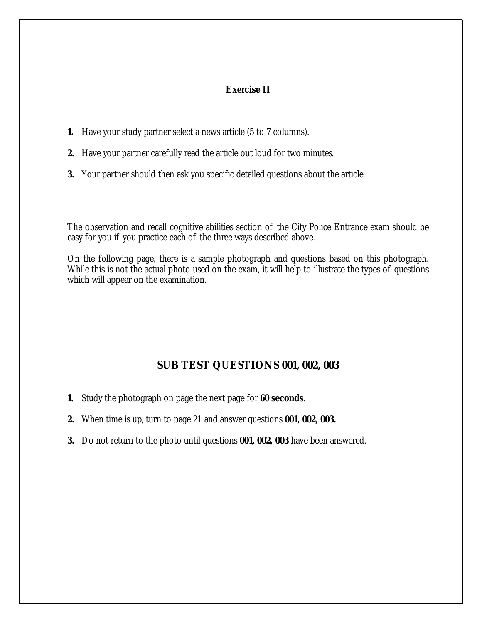## **Exercise II**

- **1.** Have your study partner select a news article (5 to 7 columns).
- **2.** Have your partner carefully read the article out loud for two minutes.
- **3.** Your partner should then ask you specific detailed questions about the article.

The observation and recall cognitive abilities section of the City Police Entrance exam should be easy for you if you practice each of the three ways described above.

On the following page, there is a sample photograph and questions based on this photograph. While this is not the actual photo used on the exam, it will help to illustrate the types of questions which will appear on the examination.

## **SUB TEST QUESTIONS 001, 002, 003**

- **1.** Study the photograph on page the next page for **60 seconds**.
- **2.** When time is up, turn to page 21 and answer questions **001, 002, 003.**
- **3.** Do not return to the photo until questions **001, 002, 003** have been answered.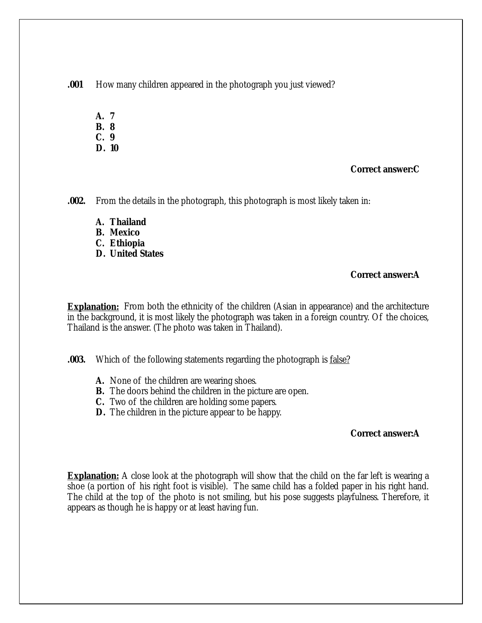**.001** How many children appeared in the photograph you just viewed?

- **A. 7 B. 8**
- **C. 9**
- **D. 10**

## **Correct answer:C**

**.002.** From the details in the photograph, this photograph is most likely taken in:

- **A. Thailand**
- **B. Mexico**
- **C. Ethiopia**
- **D. United States**

## **Correct answer:A**

**Explanation:** From both the ethnicity of the children (Asian in appearance) and the architecture in the background, it is most likely the photograph was taken in a foreign country. Of the choices, Thailand is the answer. (The photo was taken in Thailand).

**.003.** Which of the following statements regarding the photograph is <u>false?</u>

- **A.** None of the children are wearing shoes.
- **B.** The doors behind the children in the picture are open.
- **C.** Two of the children are holding some papers.
- **D.** The children in the picture appear to be happy.

## **Correct answer:A**

**Explanation:** A close look at the photograph will show that the child on the far left is wearing a shoe (a portion of his right foot is visible). The same child has a folded paper in his right hand. The child at the top of the photo is not smiling, but his pose suggests playfulness. Therefore, it appears as though he is happy or at least having fun.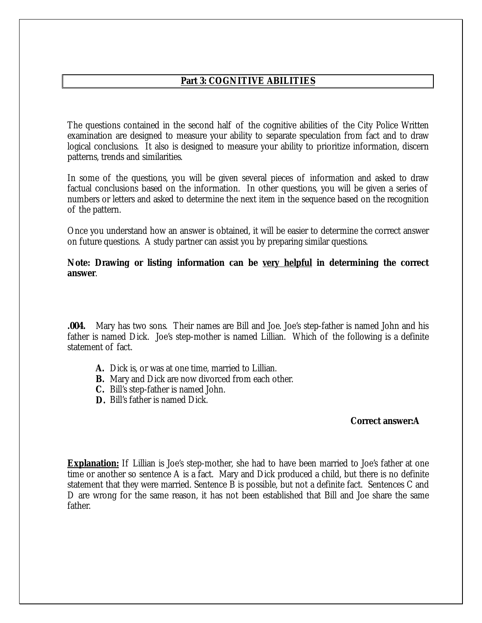## **Part 3: COGNITIVE ABILITIES**

The questions contained in the second half of the cognitive abilities of the City Police Written examination are designed to measure your ability to separate speculation from fact and to draw logical conclusions. It also is designed to measure your ability to prioritize information, discern patterns, trends and similarities.

In some of the questions, you will be given several pieces of information and asked to draw factual conclusions based on the information. In other questions, you will be given a series of numbers or letters and asked to determine the next item in the sequence based on the recognition of the pattern.

Once you understand how an answer is obtained, it will be easier to determine the correct answer on future questions. A study partner can assist you by preparing similar questions.

## **Note: Drawing or listing information can be very helpful in determining the correct answer**.

**.004.** Mary has two sons. Their names are Bill and Joe. Joe's step-father is named John and his father is named Dick. Joe's step-mother is named Lillian. Which of the following is a definite statement of fact.

- **A.** Dick is, or was at one time, married to Lillian.
- **B.** Mary and Dick are now divorced from each other.
- **C.** Bill's step-father is named John.
- **D.** Bill's father is named Dick.

### **Correct answer:A**

**Explanation:** If Lillian is Joe's step-mother, she had to have been married to Joe's father at one time or another so sentence A is a fact. Mary and Dick produced a child, but there is no definite statement that they were married. Sentence B is possible, but not a definite fact. Sentences C and D are wrong for the same reason, it has not been established that Bill and Joe share the same father.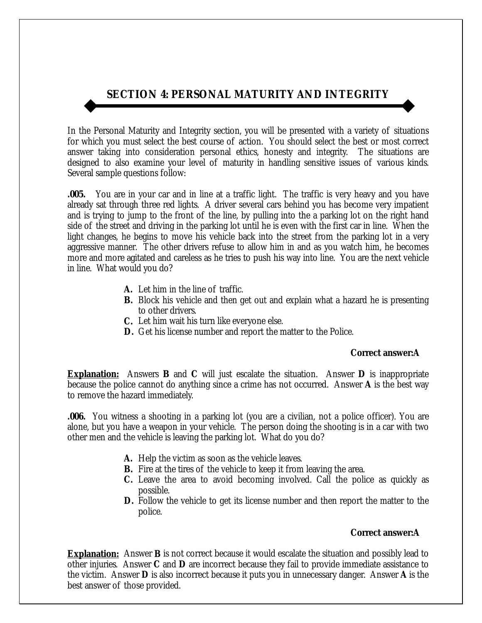# **SECTION 4: PERSONAL MATURITY AND INTEGRITY**

In the Personal Maturity and Integrity section, you will be presented with a variety of situations for which you must select the best course of action. You should select the best or most correct answer taking into consideration personal ethics, honesty and integrity. The situations are designed to also examine your level of maturity in handling sensitive issues of various kinds. Several sample questions follow:

**.005.** You are in your car and in line at a traffic light. The traffic is very heavy and you have already sat through three red lights. A driver several cars behind you has become very impatient and is trying to jump to the front of the line, by pulling into the a parking lot on the right hand side of the street and driving in the parking lot until he is even with the first car in line. When the light changes, he begins to move his vehicle back into the street from the parking lot in a very aggressive manner. The other drivers refuse to allow him in and as you watch him, he becomes more and more agitated and careless as he tries to push his way into line. You are the next vehicle in line. What would you do?

- **A.** Let him in the line of traffic.
- **B.** Block his vehicle and then get out and explain what a hazard he is presenting to other drivers.
- **C.** Let him wait his turn like everyone else.
- **D.** Get his license number and report the matter to the Police.

### **Correct answer:A**

**Explanation:** Answers **B** and **C** will just escalate the situation. Answer **D** is inappropriate because the police cannot do anything since a crime has not occurred. Answer **A** is the best way to remove the hazard immediately.

**.006.** You witness a shooting in a parking lot (you are a civilian, not a police officer). You are alone, but you have a weapon in your vehicle. The person doing the shooting is in a car with two other men and the vehicle is leaving the parking lot. What do you do?

- **A.** Help the victim as soon as the vehicle leaves.
- **B.** Fire at the tires of the vehicle to keep it from leaving the area.
- **C.** Leave the area to avoid becoming involved. Call the police as quickly as possible.
- **D.** Follow the vehicle to get its license number and then report the matter to the police.

### **Correct answer:A**

**Explanation:** Answer **B** is not correct because it would escalate the situation and possibly lead to other injuries. Answer **C** and **D** are incorrect because they fail to provide immediate assistance to the victim. Answer **D** is also incorrect because it puts you in unnecessary danger. Answer **A** is the best answer of those provided.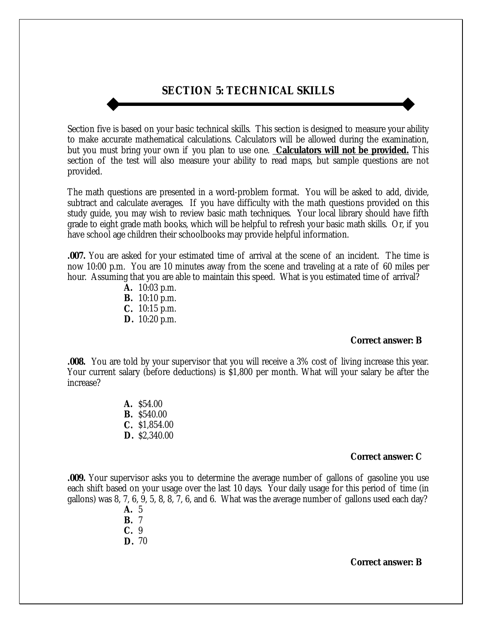## **SECTION 5: TECHNICAL SKILLS**

Section five is based on your basic technical skills. This section is designed to measure your ability to make accurate mathematical calculations. Calculators will be allowed during the examination, but you must bring your own if you plan to use one. **Calculators will not be provided.** This section of the test will also measure your ability to read maps, but sample questions are not provided.

The math questions are presented in a word-problem format. You will be asked to add, divide, subtract and calculate averages. If you have difficulty with the math questions provided on this study guide, you may wish to review basic math techniques. Your local library should have fifth grade to eight grade math books, which will be helpful to refresh your basic math skills. Or, if you have school age children their schoolbooks may provide helpful information.

**.007.** You are asked for your estimated time of arrival at the scene of an incident. The time is now 10:00 p.m. You are 10 minutes away from the scene and traveling at a rate of 60 miles per hour. Assuming that you are able to maintain this speed. What is you estimated time of arrival?

- **A.** 10:03 p.m.
- **B.** 10:10 p.m.
- **C.** 10:15 p.m.
- **D.** 10:20 p.m.

### **Correct answer: B**

**.008.** You are told by your supervisor that you will receive a 3% cost of living increase this year. Your current salary (before deductions) is \$1,800 per month. What will your salary be after the increase?

- **A.** \$54.00 **B.** \$540.00 **C.** \$1,854.00
- **D.** \$2,340.00

### **Correct answer: C**

**.009.** Your supervisor asks you to determine the average number of gallons of gasoline you use each shift based on your usage over the last 10 days. Your daily usage for this period of time (in gallons) was 8, 7, 6, 9, 5, 8, 8, 7, 6, and 6. What was the average number of gallons used each day?

- **A.** 5 **B.** 7
- **C.** 9
- **D.** 70

### **Correct answer: B**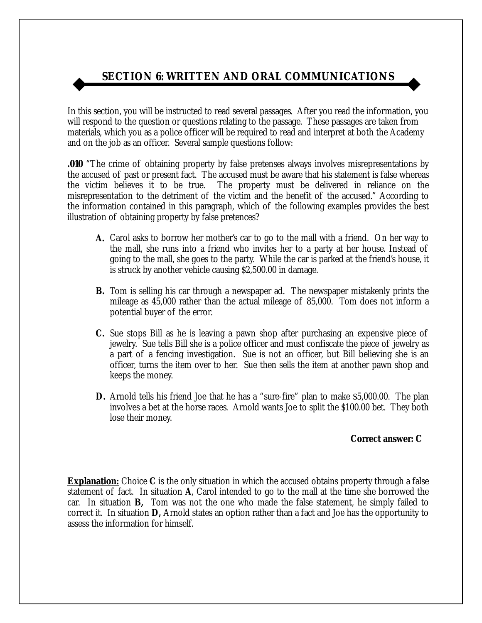# **SECTION 6: WRITTEN AND ORAL COMMUNICATIONS**

In this section, you will be instructed to read several passages. After you read the information, you will respond to the question or questions relating to the passage. These passages are taken from materials, which you as a police officer will be required to read and interpret at both the Academy and on the job as an officer. Several sample questions follow:

**.010** "The crime of obtaining property by false pretenses always involves misrepresentations by the accused of past or present fact. The accused must be aware that his statement is false whereas<br>the victim believes it to be true. The property must be delivered in reliance on the The property must be delivered in reliance on the misrepresentation to the detriment of the victim and the benefit of the accused." According to the information contained in this paragraph, which of the following examples provides the best illustration of obtaining property by false pretences?

- **A.** Carol asks to borrow her mother's car to go to the mall with a friend. On her way to the mall, she runs into a friend who invites her to a party at her house. Instead of going to the mall, she goes to the party. While the car is parked at the friend's house, it is struck by another vehicle causing \$2,500.00 in damage.
- **B.** Tom is selling his car through a newspaper ad. The newspaper mistakenly prints the mileage as 45,000 rather than the actual mileage of 85,000. Tom does not inform a potential buyer of the error.
- **C.** Sue stops Bill as he is leaving a pawn shop after purchasing an expensive piece of jewelry. Sue tells Bill she is a police officer and must confiscate the piece of jewelry as a part of a fencing investigation. Sue is not an officer, but Bill believing she is an officer, turns the item over to her. Sue then sells the item at another pawn shop and keeps the money.
- **D.** Arnold tells his friend Joe that he has a "sure-fire" plan to make \$5,000.00. The plan involves a bet at the horse races. Arnold wants Joe to split the \$100.00 bet. They both lose their money.

## **Correct answer: C**

**Explanation:** Choice **C** is the only situation in which the accused obtains property through a false statement of fact. In situation **A**, Carol intended to go to the mall at the time she borrowed the car. In situation **B,** Tom was not the one who made the false statement, he simply failed to correct it. In situation **D,** Arnold states an option rather than a fact and Joe has the opportunity to assess the information for himself.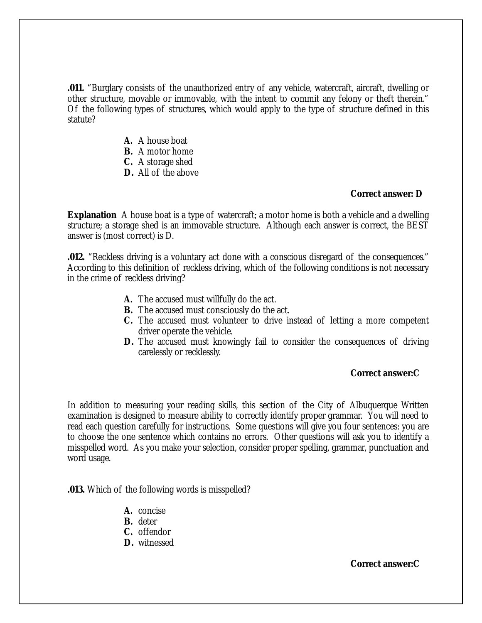**.011.** "Burglary consists of the unauthorized entry of any vehicle, watercraft, aircraft, dwelling or other structure, movable or immovable, with the intent to commit any felony or theft therein." Of the following types of structures, which would apply to the type of structure defined in this statute?

- **A.** A house boat
- **B.** A motor home
- **C.** A storage shed
- **D.** All of the above

## **Correct answer: D**

**Explanation** A house boat is a type of watercraft; a motor home is both a vehicle and a dwelling structure; a storage shed is an immovable structure. Although each answer is correct, the BEST answer is (most correct) is D.

**.012.** "Reckless driving is a voluntary act done with a conscious disregard of the consequences." According to this definition of reckless driving, which of the following conditions is not necessary in the crime of reckless driving?

- **A.** The accused must willfully do the act.
- **B.** The accused must consciously do the act.
- **C.** The accused must volunteer to drive instead of letting a more competent driver operate the vehicle.
- **D.** The accused must knowingly fail to consider the consequences of driving carelessly or recklessly.

### **Correct answer:C**

In addition to measuring your reading skills, this section of the City of Albuquerque Written examination is designed to measure ability to correctly identify proper grammar. You will need to read each question carefully for instructions. Some questions will give you four sentences: you are to choose the one sentence which contains no errors. Other questions will ask you to identify a misspelled word. As you make your selection, consider proper spelling, grammar, punctuation and word usage.

**.013.** Which of the following words is misspelled?

- **A.** concise
- **B.** deter
- **C.** offendor
- **D.** witnessed

**Correct answer:C**